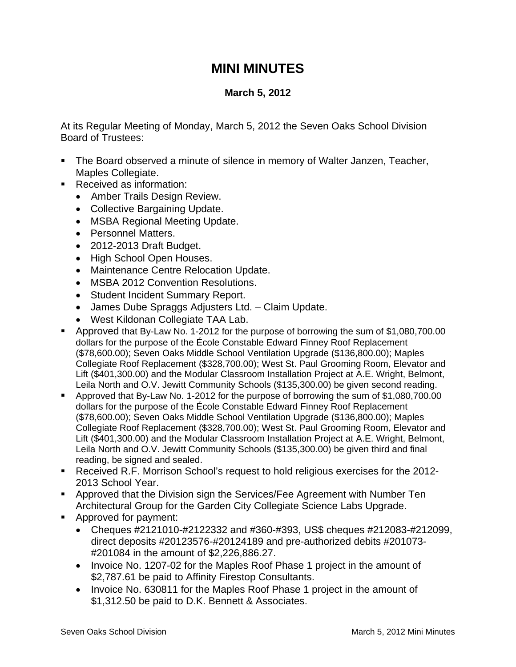## **MINI MINUTES**

## **March 5, 2012**

At its Regular Meeting of Monday, March 5, 2012 the Seven Oaks School Division Board of Trustees:

- The Board observed a minute of silence in memory of Walter Janzen, Teacher, Maples Collegiate.
- **Received as information:** 
	- Amber Trails Design Review.
	- Collective Bargaining Update.
	- MSBA Regional Meeting Update.
	- Personnel Matters.
	- 2012-2013 Draft Budget.
	- High School Open Houses.
	- Maintenance Centre Relocation Update.
	- MSBA 2012 Convention Resolutions.
	- Student Incident Summary Report.
	- James Dube Spraggs Adjusters Ltd. Claim Update.
	- West Kildonan Collegiate TAA Lab.
- Approved that By-Law No. 1-2012 for the purpose of borrowing the sum of \$1,080,700.00 dollars for the purpose of the École Constable Edward Finney Roof Replacement (\$78,600.00); Seven Oaks Middle School Ventilation Upgrade (\$136,800.00); Maples Collegiate Roof Replacement (\$328,700.00); West St. Paul Grooming Room, Elevator and Lift (\$401,300.00) and the Modular Classroom Installation Project at A.E. Wright, Belmont, Leila North and O.V. Jewitt Community Schools (\$135,300.00) be given second reading.
- Approved that By-Law No. 1-2012 for the purpose of borrowing the sum of \$1,080,700.00 dollars for the purpose of the École Constable Edward Finney Roof Replacement (\$78,600.00); Seven Oaks Middle School Ventilation Upgrade (\$136,800.00); Maples Collegiate Roof Replacement (\$328,700.00); West St. Paul Grooming Room, Elevator and Lift (\$401,300.00) and the Modular Classroom Installation Project at A.E. Wright, Belmont, Leila North and O.V. Jewitt Community Schools (\$135,300.00) be given third and final reading, be signed and sealed.
- Received R.F. Morrison School's request to hold religious exercises for the 2012- 2013 School Year.
- Approved that the Division sign the Services/Fee Agreement with Number Ten Architectural Group for the Garden City Collegiate Science Labs Upgrade.
- Approved for payment:
	- Cheques #2121010-#2122332 and #360-#393, US\$ cheques #212083-#212099, direct deposits #20123576-#20124189 and pre-authorized debits #201073- #201084 in the amount of \$2,226,886.27.
	- Invoice No. 1207-02 for the Maples Roof Phase 1 project in the amount of \$2,787.61 be paid to Affinity Firestop Consultants.
	- Invoice No. 630811 for the Maples Roof Phase 1 project in the amount of \$1,312.50 be paid to D.K. Bennett & Associates.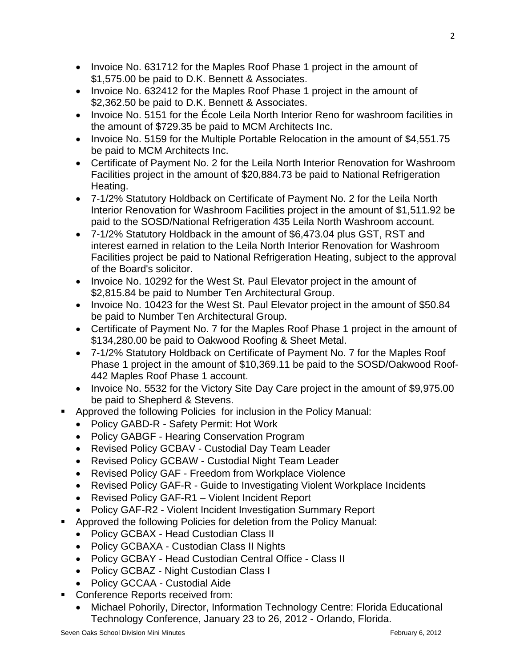- Invoice No. 631712 for the Maples Roof Phase 1 project in the amount of \$1,575.00 be paid to D.K. Bennett & Associates.
- Invoice No. 632412 for the Maples Roof Phase 1 project in the amount of \$2,362.50 be paid to D.K. Bennett & Associates.
- Invoice No. 5151 for the École Leila North Interior Reno for washroom facilities in the amount of \$729.35 be paid to MCM Architects Inc.
- Invoice No. 5159 for the Multiple Portable Relocation in the amount of \$4,551.75 be paid to MCM Architects Inc.
- Certificate of Payment No. 2 for the Leila North Interior Renovation for Washroom Facilities project in the amount of \$20,884.73 be paid to National Refrigeration Heating.
- 7-1/2% Statutory Holdback on Certificate of Payment No. 2 for the Leila North Interior Renovation for Washroom Facilities project in the amount of \$1,511.92 be paid to the SOSD/National Refrigeration 435 Leila North Washroom account.
- 7-1/2% Statutory Holdback in the amount of \$6,473.04 plus GST, RST and interest earned in relation to the Leila North Interior Renovation for Washroom Facilities project be paid to National Refrigeration Heating, subject to the approval of the Board's solicitor.
- Invoice No. 10292 for the West St. Paul Elevator project in the amount of \$2,815.84 be paid to Number Ten Architectural Group.
- Invoice No. 10423 for the West St. Paul Elevator project in the amount of \$50.84 be paid to Number Ten Architectural Group.
- Certificate of Payment No. 7 for the Maples Roof Phase 1 project in the amount of \$134,280.00 be paid to Oakwood Roofing & Sheet Metal.
- 7-1/2% Statutory Holdback on Certificate of Payment No. 7 for the Maples Roof Phase 1 project in the amount of \$10,369.11 be paid to the SOSD/Oakwood Roof-442 Maples Roof Phase 1 account.
- Invoice No. 5532 for the Victory Site Day Care project in the amount of \$9,975.00 be paid to Shepherd & Stevens.
- Approved the following Policies for inclusion in the Policy Manual:
	- Policy GABD-R Safety Permit: Hot Work
	- Policy GABGF Hearing Conservation Program
	- Revised Policy GCBAV Custodial Day Team Leader
	- Revised Policy GCBAW Custodial Night Team Leader
	- Revised Policy GAF Freedom from Workplace Violence
	- Revised Policy GAF-R Guide to Investigating Violent Workplace Incidents
	- Revised Policy GAF-R1 Violent Incident Report
	- Policy GAF-R2 Violent Incident Investigation Summary Report
- Approved the following Policies for deletion from the Policy Manual:
	- Policy GCBAX Head Custodian Class II
	- Policy GCBAXA Custodian Class II Nights
	- Policy GCBAY Head Custodian Central Office Class II
	- Policy GCBAZ Night Custodian Class I
	- Policy GCCAA Custodial Aide
	- Conference Reports received from:
		- Michael Pohorily, Director, Information Technology Centre: Florida Educational Technology Conference, January 23 to 26, 2012 - Orlando, Florida.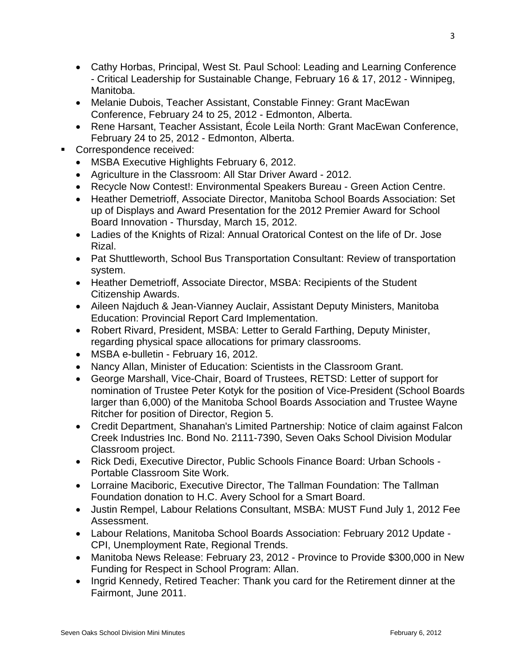- Cathy Horbas, Principal, West St. Paul School: Leading and Learning Conference - Critical Leadership for Sustainable Change, February 16 & 17, 2012 - Winnipeg, Manitoba.
- Melanie Dubois, Teacher Assistant, Constable Finney: Grant MacEwan Conference, February 24 to 25, 2012 - Edmonton, Alberta.
- Rene Harsant, Teacher Assistant, École Leila North: Grant MacEwan Conference, February 24 to 25, 2012 - Edmonton, Alberta.
- Correspondence received:
	- MSBA Executive Highlights February 6, 2012.
	- Agriculture in the Classroom: All Star Driver Award 2012.
	- Recycle Now Contest!: Environmental Speakers Bureau Green Action Centre.
	- Heather Demetrioff, Associate Director, Manitoba School Boards Association: Set up of Displays and Award Presentation for the 2012 Premier Award for School Board Innovation - Thursday, March 15, 2012.
	- Ladies of the Knights of Rizal: Annual Oratorical Contest on the life of Dr. Jose Rizal.
	- Pat Shuttleworth, School Bus Transportation Consultant: Review of transportation system.
	- Heather Demetrioff, Associate Director, MSBA: Recipients of the Student Citizenship Awards.
	- Aileen Najduch & Jean-Vianney Auclair, Assistant Deputy Ministers, Manitoba Education: Provincial Report Card Implementation.
	- Robert Rivard, President, MSBA: Letter to Gerald Farthing, Deputy Minister, regarding physical space allocations for primary classrooms.
	- MSBA e-bulletin February 16, 2012.
	- Nancy Allan, Minister of Education: Scientists in the Classroom Grant.
	- George Marshall, Vice-Chair, Board of Trustees, RETSD: Letter of support for nomination of Trustee Peter Kotyk for the position of Vice-President (School Boards larger than 6,000) of the Manitoba School Boards Association and Trustee Wayne Ritcher for position of Director, Region 5.
	- Credit Department, Shanahan's Limited Partnership: Notice of claim against Falcon Creek Industries Inc. Bond No. 2111-7390, Seven Oaks School Division Modular Classroom project.
	- Rick Dedi, Executive Director, Public Schools Finance Board: Urban Schools Portable Classroom Site Work.
	- Lorraine Maciboric, Executive Director, The Tallman Foundation: The Tallman Foundation donation to H.C. Avery School for a Smart Board.
	- Justin Rempel, Labour Relations Consultant, MSBA: MUST Fund July 1, 2012 Fee Assessment.
	- Labour Relations, Manitoba School Boards Association: February 2012 Update CPI, Unemployment Rate, Regional Trends.
	- Manitoba News Release: February 23, 2012 Province to Provide \$300,000 in New Funding for Respect in School Program: Allan.
	- Ingrid Kennedy, Retired Teacher: Thank you card for the Retirement dinner at the Fairmont, June 2011.